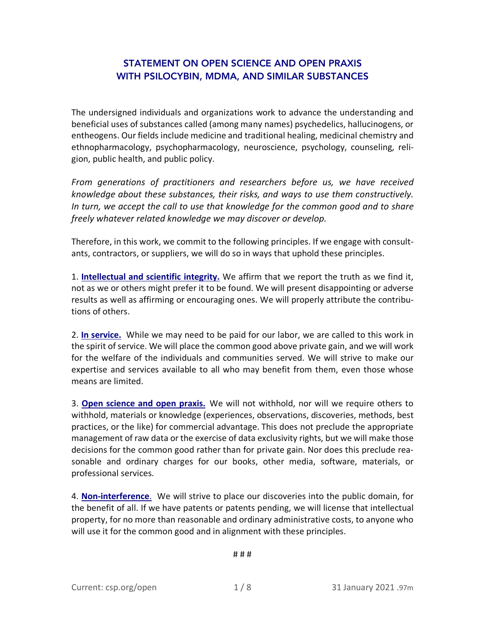# STATEMENT ON OPEN SCIENCE AND OPEN PRAXIS WITH PSILOCYBIN, MDMA, AND SIMILAR SUBSTANCES

The undersigned individuals and organizations work to advance the understanding and beneficial uses of substances called (among many names) psychedelics, hallucinogens, or entheogens. Our fields include medicine and traditional healing, medicinal chemistry and ethnopharmacology, psychopharmacology, neuroscience, psychology, counseling, religion, public health, and public policy.

*From generations of practitioners and researchers before us, we have received knowledge about these substances, their risks, and ways to use them constructively. In turn, we accept the call to use that knowledge for the common good and to share freely whatever related knowledge we may discover or develop.*

Therefore, in this work, we commit to the following principles. If we engage with consultants, contractors, or suppliers, we will do so in ways that uphold these principles.

1. **Intellectual and scientific integrity.** We affirm that we report the truth as we find it, not as we or others might prefer it to be found. We will present disappointing or adverse results as well as affirming or encouraging ones. We will properly attribute the contributions of others.

2. **In service.** While we may need to be paid for our labor, we are called to this work in the spirit of service. We will place the common good above private gain, and we will work for the welfare of the individuals and communities served. We will strive to make our expertise and services available to all who may benefit from them, even those whose means are limited.

3. **Open science and open praxis.** We will not withhold, nor will we require others to withhold, materials or knowledge (experiences, observations, discoveries, methods, best practices, or the like) for commercial advantage. This does not preclude the appropriate management of raw data or the exercise of data exclusivity rights, but we will make those decisions for the common good rather than for private gain. Nor does this preclude reasonable and ordinary charges for our books, other media, software, materials, or professional services.

4. **Non-interference**. We will strive to place our discoveries into the public domain, for the benefit of all. If we have patents or patents pending, we will license that intellectual property, for no more than reasonable and ordinary administrative costs, to anyone who will use it for the common good and in alignment with these principles.

# # #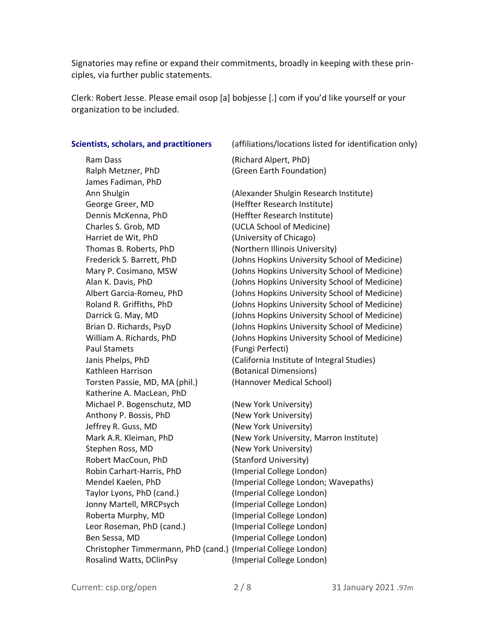Signatories may refine or expand their commitments, broadly in keeping with these principles, via further public statements.

Clerk: Robert Jesse. Please email osop [a] bobjesse [.] com if you'd like yourself or your organization to be included.

Ram Dass (Richard Alpert, PhD) Ralph Metzner, PhD (Green Earth Foundation) James Fadiman, PhD George Greer, MD (Heffter Research Institute) Dennis McKenna, PhD (Heffter Research Institute) Charles S. Grob, MD (UCLA School of Medicine) Harriet de Wit, PhD (University of Chicago) Thomas B. Roberts, PhD (Northern Illinois University) Paul Stamets (Fungi Perfecti) Kathleen Harrison (Botanical Dimensions) Torsten Passie, MD, MA (phil.) (Hannover Medical School) Katherine A. MacLean, PhD Michael P. Bogenschutz, MD (New York University) Anthony P. Bossis, PhD (New York University) Jeffrey R. Guss, MD (New York University) Stephen Ross, MD (New York University) Robert MacCoun, PhD (Stanford University) Robin Carhart-Harris, PhD (Imperial College London) Taylor Lyons, PhD (cand.) (Imperial College London) Jonny Martell, MRCPsych (Imperial College London) Roberta Murphy, MD (Imperial College London) Leor Roseman, PhD (cand.) (Imperial College London) Ben Sessa, MD (Imperial College London) Christopher Timmermann, PhD (cand.) (Imperial College London) Rosalind Watts, DClinPsy (Imperial College London)

**Scientists, scholars, and practitioners** (affiliations/locations listed for identification only)

Ann Shulgin (Alexander Shulgin Research Institute) Frederick S. Barrett, PhD (Johns Hopkins University School of Medicine) Mary P. Cosimano, MSW (Johns Hopkins University School of Medicine) Alan K. Davis, PhD (Johns Hopkins University School of Medicine) Albert Garcia-Romeu, PhD (Johns Hopkins University School of Medicine) Roland R. Griffiths, PhD (Johns Hopkins University School of Medicine) Darrick G. May, MD (Johns Hopkins University School of Medicine) Brian D. Richards, PsyD (Johns Hopkins University School of Medicine) William A. Richards, PhD (Johns Hopkins University School of Medicine) Janis Phelps, PhD (California Institute of Integral Studies)

Mark A.R. Kleiman, PhD (New York University, Marron Institute) Mendel Kaelen, PhD (Imperial College London; Wavepaths)

Current: csp.org/open 2 / 8 31 January 2021 .97m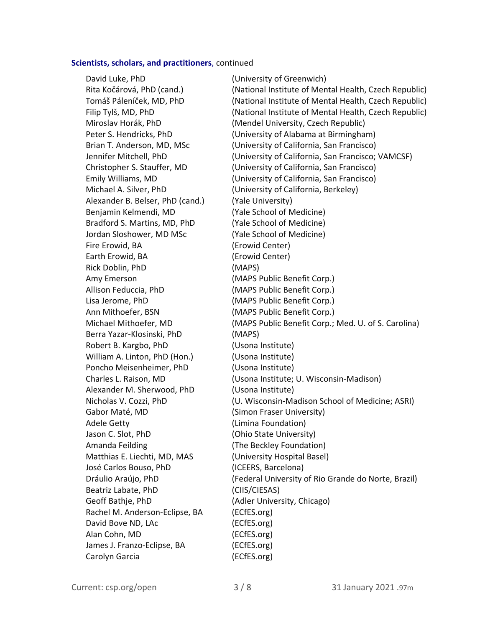#### **Scientists, scholars, and practitioners**, continued

David Luke, PhD (University of Greenwich) Alexander B. Belser, PhD (cand.) (Yale University) Benjamin Kelmendi, MD (Yale School of Medicine) Bradford S. Martins, MD, PhD (Yale School of Medicine) Jordan Sloshower, MD MSc (Yale School of Medicine) Fire Erowid, BA (Erowid Center) Earth Erowid, BA (Erowid Center) Rick Doblin, PhD (MAPS) Amy Emerson (MAPS Public Benefit Corp.) Allison Feduccia, PhD (MAPS Public Benefit Corp.) Lisa Jerome, PhD (MAPS Public Benefit Corp.) Ann Mithoefer, BSN (MAPS Public Benefit Corp.) Berra Yazar-Klosinski, PhD (MAPS) Robert B. Kargbo, PhD (Usona Institute) William A. Linton, PhD (Hon.) (Usona Institute) Poncho Meisenheimer, PhD (Usona Institute) Alexander M. Sherwood, PhD (Usona Institute) Gabor Maté, MD (Simon Fraser University) Adele Getty (Limina Foundation) Jason C. Slot, PhD (Ohio State University) Amanda Feilding (The Beckley Foundation) Matthias E. Liechti, MD, MAS (University Hospital Basel) José Carlos Bouso, PhD (ICEERS, Barcelona) Beatriz Labate, PhD (CIIS/CIESAS) Geoff Bathje, PhD (Adler University, Chicago) Rachel M. Anderson-Eclipse, BA (ECfES.org) David Bove ND, LAc (ECfES.org) Alan Cohn, MD (ECfES.org) James J. Franzo-Eclipse, BA (ECfES.org) Carolyn Garcia (ECfES.org)

Rita Kočárová, PhD (cand.) (National Institute of Mental Health, Czech Republic) Tomáš Páleníček, MD, PhD (National Institute of Mental Health, Czech Republic) Filip Tylš, MD, PhD (National Institute of Mental Health, Czech Republic) Miroslav Horák, PhD (Mendel University, Czech Republic) Peter S. Hendricks, PhD (University of Alabama at Birmingham) Brian T. Anderson, MD, MSc (University of California, San Francisco) Jennifer Mitchell, PhD (University of California, San Francisco; VAMCSF) Christopher S. Stauffer, MD (University of California, San Francisco) Emily Williams, MD (University of California, San Francisco) Michael A. Silver, PhD (University of California, Berkeley) Michael Mithoefer, MD (MAPS Public Benefit Corp.; Med. U. of S. Carolina) Charles L. Raison, MD (Usona Institute; U. Wisconsin-Madison) Nicholas V. Cozzi, PhD (U. Wisconsin-Madison School of Medicine; ASRI) Dráulio Araújo, PhD (Federal University of Rio Grande do Norte, Brazil)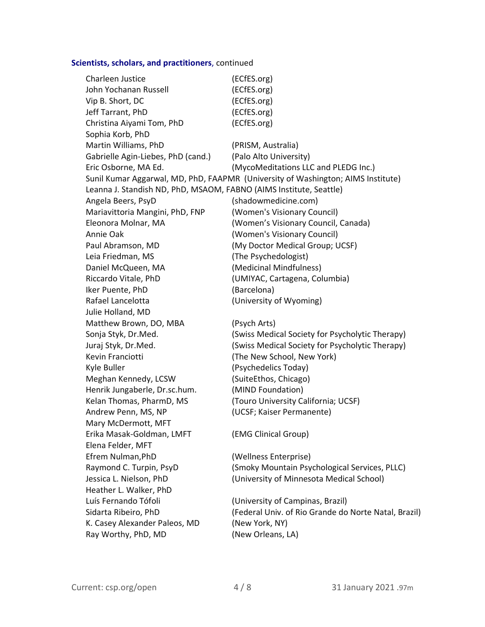# **Scientists, scholars, and practitioners**, continued

| Charleen Justice                                                   | (ECfES.org)                                                                      |
|--------------------------------------------------------------------|----------------------------------------------------------------------------------|
| John Yochanan Russell                                              | (ECfES.org)                                                                      |
| Vip B. Short, DC                                                   | (ECfES.org)                                                                      |
| Jeff Tarrant, PhD                                                  | (ECfES.org)                                                                      |
| Christina Aiyami Tom, PhD                                          | (ECfES.org)                                                                      |
| Sophia Korb, PhD                                                   |                                                                                  |
| Martin Williams, PhD                                               | (PRISM, Australia)                                                               |
| Gabrielle Agin-Liebes, PhD (cand.)                                 | (Palo Alto University)                                                           |
| Eric Osborne, MA Ed.                                               | (MycoMeditations LLC and PLEDG Inc.)                                             |
|                                                                    | Sunil Kumar Aggarwal, MD, PhD, FAAPMR (University of Washington; AIMS Institute) |
| Leanna J. Standish ND, PhD, MSAOM, FABNO (AIMS Institute, Seattle) |                                                                                  |
| Angela Beers, PsyD                                                 | (shadowmedicine.com)                                                             |
| Mariavittoria Mangini, PhD, FNP                                    | (Women's Visionary Council)                                                      |
| Eleonora Molnar, MA                                                | (Women's Visionary Council, Canada)                                              |
| Annie Oak                                                          | (Women's Visionary Council)                                                      |
| Paul Abramson, MD                                                  | (My Doctor Medical Group; UCSF)                                                  |
| Leia Friedman, MS                                                  | (The Psychedologist)                                                             |
| Daniel McQueen, MA                                                 | (Medicinal Mindfulness)                                                          |
| Riccardo Vitale, PhD                                               | (UMIYAC, Cartagena, Columbia)                                                    |
| Iker Puente, PhD                                                   | (Barcelona)                                                                      |
| Rafael Lancelotta                                                  | (University of Wyoming)                                                          |
| Julie Holland, MD                                                  |                                                                                  |
| Matthew Brown, DO, MBA                                             | (Psych Arts)                                                                     |
| Sonja Styk, Dr.Med.                                                | (Swiss Medical Society for Psycholytic Therapy)                                  |
| Juraj Styk, Dr.Med.                                                | (Swiss Medical Society for Psycholytic Therapy)                                  |
| Kevin Franciotti                                                   | (The New School, New York)                                                       |
| Kyle Buller                                                        | (Psychedelics Today)                                                             |
| Meghan Kennedy, LCSW                                               | (SuiteEthos, Chicago)                                                            |
| Henrik Jungaberle, Dr.sc.hum.                                      | (MIND Foundation)                                                                |
| Kelan Thomas, PharmD, MS                                           | (Touro University California; UCSF)                                              |
| Andrew Penn, MS, NP                                                | (UCSF; Kaiser Permanente)                                                        |
| Mary McDermott, MFT                                                |                                                                                  |
| Erika Masak-Goldman, LMFT                                          | (EMG Clinical Group)                                                             |
| Elena Felder, MFT                                                  |                                                                                  |
| Efrem Nulman, PhD                                                  | (Wellness Enterprise)                                                            |
| Raymond C. Turpin, PsyD                                            | (Smoky Mountain Psychological Services, PLLC)                                    |
| Jessica L. Nielson, PhD                                            | (University of Minnesota Medical School)                                         |
| Heather L. Walker, PhD                                             |                                                                                  |
| Luís Fernando Tófoli                                               | (University of Campinas, Brazil)                                                 |
| Sidarta Ribeiro, PhD                                               | (Federal Univ. of Rio Grande do Norte Natal, Brazil)                             |
| K. Casey Alexander Paleos, MD                                      | (New York, NY)                                                                   |
| Ray Worthy, PhD, MD                                                | (New Orleans, LA)                                                                |
|                                                                    |                                                                                  |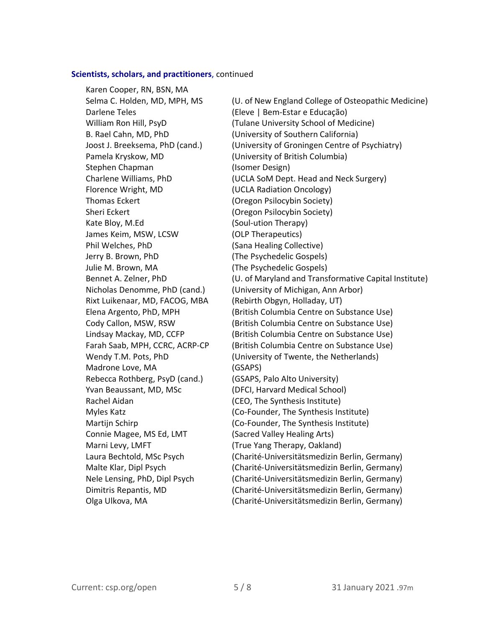### **Scientists, scholars, and practitioners**, continued

Karen Cooper, RN, BSN, MA Darlene Teles (Eleve | Bem-Estar e Educação) Pamela Kryskow, MD (University of British Columbia) Stephen Chapman (Isomer Design) Florence Wright, MD (UCLA Radiation Oncology) Thomas Eckert (Oregon Psilocybin Society) Sheri Eckert **Manual Eckert** (Oregon Psilocybin Society) Kate Blov, M.Ed (Soul-ution Therapy) James Keim, MSW, LCSW (OLP Therapeutics) Phil Welches, PhD (Sana Healing Collective) Jerry B. Brown, PhD (The Psychedelic Gospels) Julie M. Brown, MA (The Psychedelic Gospels) Rixt Luikenaar, MD, FACOG, MBA (Rebirth Obgyn, Holladay, UT) Madrone Love, MA (GSAPS) Rebecca Rothberg, PsyD (cand.) (GSAPS, Palo Alto University) Yvan Beaussant, MD, MSc (DFCI, Harvard Medical School) Rachel Aidan (CEO, The Synthesis Institute) Connie Magee, MS Ed, LMT (Sacred Valley Healing Arts) Marni Levy, LMFT (True Yang Therapy, Oakland)

Selma C. Holden, MD, MPH, MS (U. of New England College of Osteopathic Medicine) William Ron Hill, PsyD (Tulane University School of Medicine) B. Rael Cahn, MD, PhD (University of Southern California) Joost J. Breeksema, PhD (cand.) (University of Groningen Centre of Psychiatry) Charlene Williams, PhD (UCLA SoM Dept. Head and Neck Surgery) Bennet A. Zelner, PhD (U. of Maryland and Transformative Capital Institute) Nicholas Denomme, PhD (cand.) (University of Michigan, Ann Arbor) Elena Argento, PhD, MPH (British Columbia Centre on Substance Use) Cody Callon, MSW, RSW (British Columbia Centre on Substance Use) Lindsay Mackay, MD, CCFP (British Columbia Centre on Substance Use) Farah Saab, MPH, CCRC, ACRP-CP (British Columbia Centre on Substance Use) Wendy T.M. Pots, PhD (University of Twente, the Netherlands) Myles Katz (Co-Founder, The Synthesis Institute) Martijn Schirp (Co-Founder, The Synthesis Institute) Laura Bechtold, MSc Psych (Charité-Universitätsmedizin Berlin, Germany) Malte Klar, Dipl Psych (Charité-Universitätsmedizin Berlin, Germany) Nele Lensing, PhD, Dipl Psych (Charité-Universitätsmedizin Berlin, Germany) Dimitris Repantis, MD (Charité-Universitätsmedizin Berlin, Germany) Olga Ulkova, MA (Charité-Universitätsmedizin Berlin, Germany)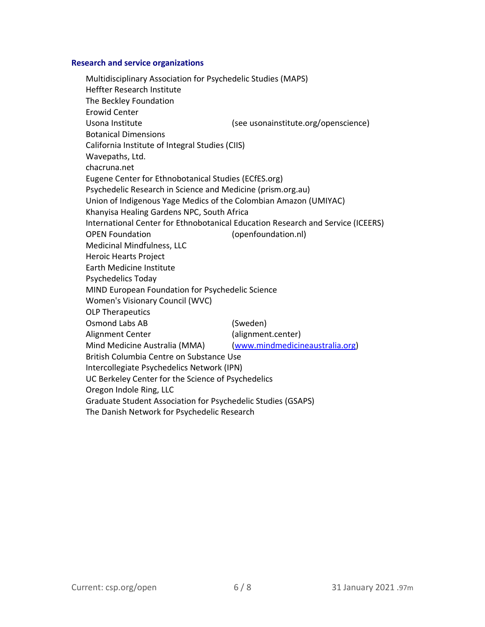### **Research and service organizations**

Multidisciplinary Association for Psychedelic Studies (MAPS) Heffter Research Institute The Beckley Foundation Erowid Center Usona Institute (see usonainstitute.org/openscience) Botanical Dimensions California Institute of Integral Studies (CIIS) Wavepaths, Ltd. chacruna.net Eugene Center for Ethnobotanical Studies (ECfES.org) Psychedelic Research in Science and Medicine (prism.org.au) Union of Indigenous Yage Medics of the Colombian Amazon (UMIYAC) Khanyisa Healing Gardens NPC, South Africa International Center for Ethnobotanical Education Research and Service (ICEERS) OPEN Foundation (openfoundation.nl) Medicinal Mindfulness, LLC Heroic Hearts Project Earth Medicine Institute Psychedelics Today MIND European Foundation for Psychedelic Science Women's Visionary Council (WVC) OLP Therapeutics Osmond Labs AB (Sweden) Alignment Center (alignment.center) Mind Medicine Australia (MMA) (www.mindmedicineaustralia.org) British Columbia Centre on Substance Use Intercollegiate Psychedelics Network (IPN) UC Berkeley Center for the Science of Psychedelics Oregon Indole Ring, LLC Graduate Student Association for Psychedelic Studies (GSAPS) The Danish Network for Psychedelic Research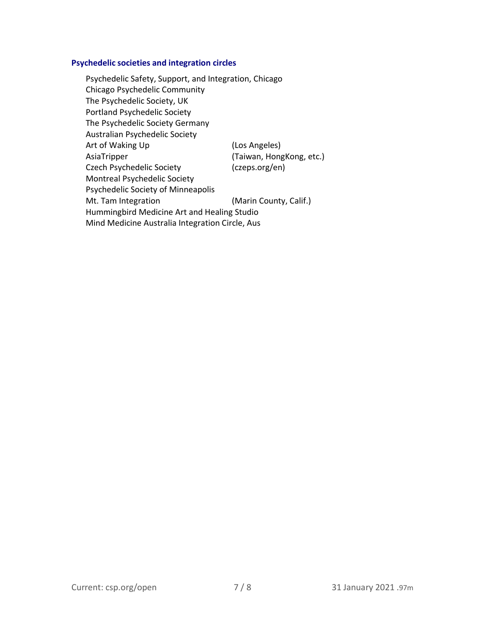# **Psychedelic societies and integration circles**

Psychedelic Safety, Support, and Integration, Chicago Chicago Psychedelic Community The Psychedelic Society, UK Portland Psychedelic Society The Psychedelic Society Germany Australian Psychedelic Society Art of Waking Up (Los Angeles) AsiaTripper (Taiwan, HongKong, etc.) Czech Psychedelic Society (czeps.org/en) Montreal Psychedelic Society Psychedelic Society of Minneapolis Mt. Tam Integration (Marin County, Calif.) Hummingbird Medicine Art and Healing Studio Mind Medicine Australia Integration Circle, Aus